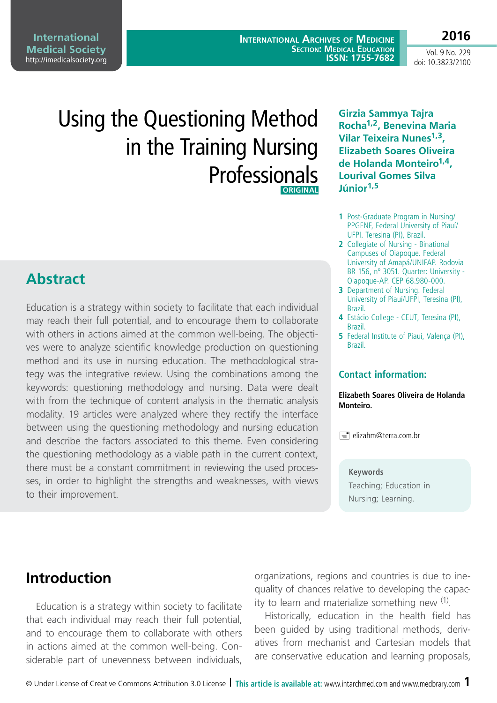**International Medical Society**  http://imedicalsociety.org

**International Archives of Medicine SECTION: MEDICAL EDUCATION ISSN: 1755-7682**

Vol. 9 No. 229 doi: 10.3823/2100

**2016**

# Using the Questioning Method in the Training Nursing Professionals  **ORIGINAL**

### **Abstract**

Education is a strategy within society to facilitate that each individual may reach their full potential, and to encourage them to collaborate with others in actions aimed at the common well-being. The objectives were to analyze scientific knowledge production on questioning method and its use in nursing education. The methodological strategy was the integrative review. Using the combinations among the keywords: questioning methodology and nursing. Data were dealt with from the technique of content analysis in the thematic analysis modality. 19 articles were analyzed where they rectify the interface between using the questioning methodology and nursing education and describe the factors associated to this theme. Even considering the questioning methodology as a viable path in the current context, there must be a constant commitment in reviewing the used processes, in order to highlight the strengths and weaknesses, with views to their improvement.

**Girzia Sammya Tajra Rocha1,2, Benevina Maria Vilar Teixeira Nunes1,3, Elizabeth Soares Oliveira de Holanda Monteiro1,4, Lourival Gomes Silva Júnior1,5**

- **1** Post-Graduate Program in Nursing/ PPGENF, Federal University of Piauí/ UFPI. Teresina (PI), Brazil.
- **2** Collegiate of Nursing Binational Campuses of Oiapoque. Federal University of Amapá/UNIFAP. Rodovia BR 156, nº 3051. Quarter: University - Oiapoque-AP. CEP 68.980-000.
- **3** Department of Nursing. Federal University of Piauí/UFPI, Teresina (PI), Brazil.
- **4** Estácio College CEUT, Teresina (PI), Brazil.
- **5** Federal Institute of Piauí, Valenca (PI), Brazil.

#### **Contact information:**

**Elizabeth Soares Oliveira de Holanda Monteiro.**

 $\equiv$  elizahm@terra.com.br

#### **Keywords**

Teaching; Education in Nursing; Learning.

### **Introduction**

Education is a strategy within society to facilitate that each individual may reach their full potential, and to encourage them to collaborate with others in actions aimed at the common well-being. Considerable part of unevenness between individuals, organizations, regions and countries is due to inequality of chances relative to developing the capacity to learn and materialize something new  $(1)$ .

Historically, education in the health field has been guided by using traditional methods, derivatives from mechanist and Cartesian models that are conservative education and learning proposals,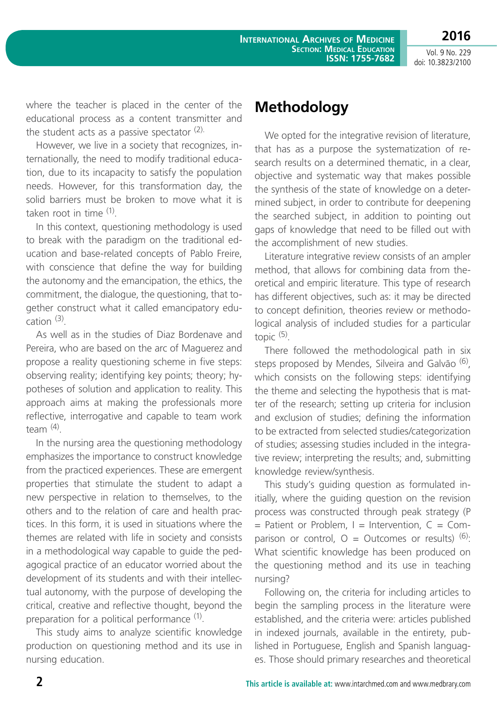**2016**

where the teacher is placed in the center of the educational process as a content transmitter and the student acts as a passive spectator  $(2)$ .

However, we live in a society that recognizes, internationally, the need to modify traditional education, due to its incapacity to satisfy the population needs. However, for this transformation day, the solid barriers must be broken to move what it is taken root in time (1).

In this context, questioning methodology is used to break with the paradigm on the traditional education and base-related concepts of Pablo Freire, with conscience that define the way for building the autonomy and the emancipation, the ethics, the commitment, the dialogue, the questioning, that together construct what it called emancipatory education  $(3)$ .

As well as in the studies of Diaz Bordenave and Pereira, who are based on the arc of Maguerez and propose a reality questioning scheme in five steps: observing reality; identifying key points; theory; hypotheses of solution and application to reality. This approach aims at making the professionals more reflective, interrogative and capable to team work team $(4)$ .

In the nursing area the questioning methodology emphasizes the importance to construct knowledge from the practiced experiences. These are emergent properties that stimulate the student to adapt a new perspective in relation to themselves, to the others and to the relation of care and health practices. In this form, it is used in situations where the themes are related with life in society and consists in a methodological way capable to guide the pedagogical practice of an educator worried about the development of its students and with their intellectual autonomy, with the purpose of developing the critical, creative and reflective thought, beyond the preparation for a political performance <sup>(1)</sup>.

This study aims to analyze scientific knowledge production on questioning method and its use in nursing education.

# **Methodology**

We opted for the integrative revision of literature, that has as a purpose the systematization of research results on a determined thematic, in a clear, objective and systematic way that makes possible the synthesis of the state of knowledge on a determined subject, in order to contribute for deepening the searched subject, in addition to pointing out gaps of knowledge that need to be filled out with the accomplishment of new studies.

Literature integrative review consists of an ampler method, that allows for combining data from theoretical and empiric literature. This type of research has different objectives, such as: it may be directed to concept definition, theories review or methodological analysis of included studies for a particular topic (5).

There followed the methodological path in six steps proposed by Mendes, Silveira and Galvão <sup>(6)</sup>, which consists on the following steps: identifying the theme and selecting the hypothesis that is matter of the research; setting up criteria for inclusion and exclusion of studies; defining the information to be extracted from selected studies/categorization of studies; assessing studies included in the integrative review; interpreting the results; and, submitting knowledge review/synthesis.

This study's guiding question as formulated initially, where the guiding question on the revision process was constructed through peak strategy (P  $=$  Patient or Problem,  $I =$  Intervention,  $C =$  Comparison or control,  $Q = Q$ utcomes or results)  $(6)$ . What scientific knowledge has been produced on the questioning method and its use in teaching nursing?

Following on, the criteria for including articles to begin the sampling process in the literature were established, and the criteria were: articles published in indexed journals, available in the entirety, published in Portuguese, English and Spanish languages. Those should primary researches and theoretical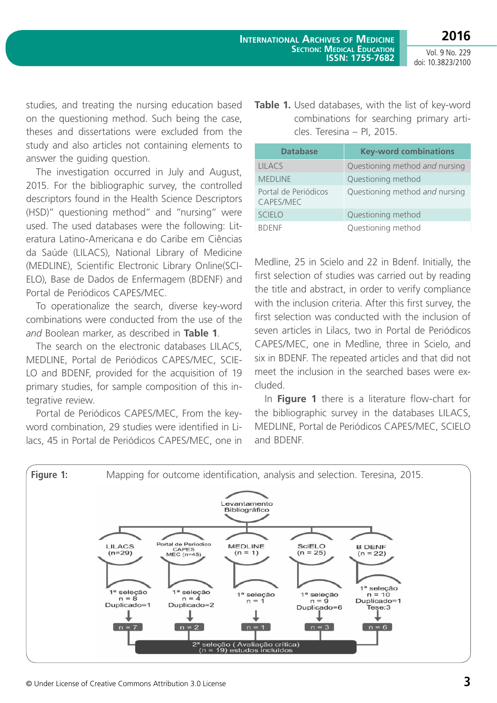studies, and treating the nursing education based on the questioning method. Such being the case, theses and dissertations were excluded from the study and also articles not containing elements to answer the guiding question.

The investigation occurred in July and August, 2015. For the bibliographic survey, the controlled descriptors found in the Health Science Descriptors (HSD)" questioning method" and "nursing" were used. The used databases were the following: Literatura Latino-Americana e do Caribe em Ciências da Saúde (LILACS), National Library of Medicine (MEDLINE), Scientific Electronic Library Online(SCI-ELO), Base de Dados de Enfermagem (BDENF) and Portal de Periódicos CAPES/MEC.

To operationalize the search, diverse key-word combinations were conducted from the use of the *and* Boolean marker, as described in **Table 1**.

The search on the electronic databases LILACS, MEDLINE, Portal de Periódicos CAPES/MEC, SCIE-LO and BDENF, provided for the acquisition of 19 primary studies, for sample composition of this integrative review.

Portal de Periódicos CAPES/MEC, From the keyword combination, 29 studies were identified in Lilacs, 45 in Portal de Periódicos CAPES/MEC, one in **Table 1.** Used databases, with the list of key-word combinations for searching primary articles. Teresina – PI, 2015.

| <b>Database</b>                   | <b>Key-word combinations</b>   |
|-----------------------------------|--------------------------------|
| <b>LILACS</b>                     | Questioning method and nursing |
| <b>MEDLINE</b>                    | Questioning method             |
| Portal de Periódicos<br>CAPES/MEC | Questioning method and nursing |
| <b>SCIELO</b>                     | Questioning method             |
| <b>BDENF</b>                      | Questioning method             |

Medline, 25 in Scielo and 22 in Bdenf. Initially, the first selection of studies was carried out by reading the title and abstract, in order to verify compliance with the inclusion criteria. After this first survey, the first selection was conducted with the inclusion of seven articles in Lilacs, two in Portal de Periódicos CAPES/MEC, one in Medline, three in Scielo, and six in BDENF. The repeated articles and that did not meet the inclusion in the searched bases were excluded.

In **Figure 1** there is a literature flow-chart for the bibliographic survey in the databases LILACS, MEDLINE, Portal de Periódicos CAPES/MEC, SCIELO and BDENF.

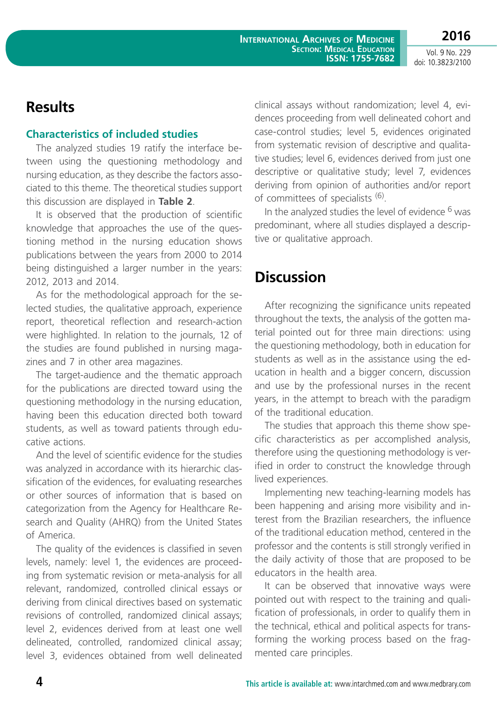### **Results**

### **Characteristics of included studies**

The analyzed studies 19 ratify the interface between using the questioning methodology and nursing education, as they describe the factors associated to this theme. The theoretical studies support this discussion are displayed in **Table 2**.

It is observed that the production of scientific knowledge that approaches the use of the questioning method in the nursing education shows publications between the years from 2000 to 2014 being distinguished a larger number in the years: 2012, 2013 and 2014.

As for the methodological approach for the selected studies, the qualitative approach, experience report, theoretical reflection and research-action were highlighted. In relation to the journals, 12 of the studies are found published in nursing magazines and 7 in other area magazines.

The target-audience and the thematic approach for the publications are directed toward using the questioning methodology in the nursing education, having been this education directed both toward students, as well as toward patients through educative actions.

And the level of scientific evidence for the studies was analyzed in accordance with its hierarchic classification of the evidences, for evaluating researches or other sources of information that is based on categorization from the Agency for Healthcare Research and Quality (AHRQ) from the United States of America.

The quality of the evidences is classified in seven levels, namely: level 1, the evidences are proceeding from systematic revision or meta-analysis for all relevant, randomized, controlled clinical essays or deriving from clinical directives based on systematic revisions of controlled, randomized clinical assays; level 2, evidences derived from at least one well delineated, controlled, randomized clinical assay; level 3, evidences obtained from well delineated clinical assays without randomization; level 4, evidences proceeding from well delineated cohort and case-control studies; level 5, evidences originated from systematic revision of descriptive and qualitative studies; level 6, evidences derived from just one descriptive or qualitative study; level 7, evidences deriving from opinion of authorities and/or report of committees of specialists (6).

In the analyzed studies the level of evidence <sup>6</sup> was predominant, where all studies displayed a descriptive or qualitative approach.

# **Discussion**

After recognizing the significance units repeated throughout the texts, the analysis of the gotten material pointed out for three main directions: using the questioning methodology, both in education for students as well as in the assistance using the education in health and a bigger concern, discussion and use by the professional nurses in the recent years, in the attempt to breach with the paradigm of the traditional education.

The studies that approach this theme show specific characteristics as per accomplished analysis, therefore using the questioning methodology is verified in order to construct the knowledge through lived experiences.

Implementing new teaching-learning models has been happening and arising more visibility and interest from the Brazilian researchers, the influence of the traditional education method, centered in the professor and the contents is still strongly verified in the daily activity of those that are proposed to be educators in the health area.

It can be observed that innovative ways were pointed out with respect to the training and qualification of professionals, in order to qualify them in the technical, ethical and political aspects for transforming the working process based on the fragmented care principles.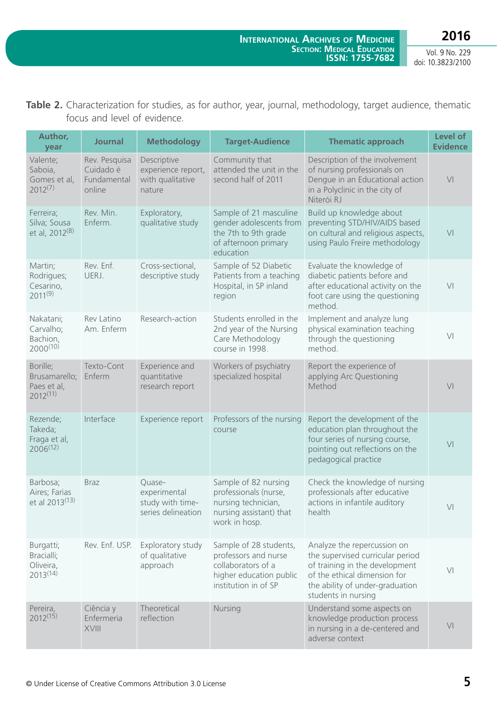| <b>Table 2.</b> Characterization for studies, as for author, year, journal, methodology, target audience, thematic |  |  |  |  |
|--------------------------------------------------------------------------------------------------------------------|--|--|--|--|
| focus and level of evidence.                                                                                       |  |  |  |  |

| Author,<br>year                                           | <b>Journal</b>                                      | <b>Methodology</b>                                               | <b>Target-Audience</b>                                                                                                  | <b>Thematic approach</b>                                                                                                                                                                    | Level of<br><b>Evidence</b> |
|-----------------------------------------------------------|-----------------------------------------------------|------------------------------------------------------------------|-------------------------------------------------------------------------------------------------------------------------|---------------------------------------------------------------------------------------------------------------------------------------------------------------------------------------------|-----------------------------|
| Valente;<br>Saboia,<br>Gomes et al,<br>$2012^{(7)}$       | Rev. Pesquisa<br>Cuidado é<br>Fundamental<br>online | Descriptive<br>experience report,<br>with qualitative<br>nature  | Community that<br>attended the unit in the<br>second half of 2011                                                       | Description of the involvement<br>of nursing professionals on<br>Dengue in an Educational action<br>in a Polyclinic in the city of<br>Niterói RJ                                            | V <sub>l</sub>              |
| Ferreira;<br>Silva; Sousa<br>et al, 2012 <sup>(8)</sup>   | Rev. Min.<br>Enferm.                                | Exploratory,<br>qualitative study                                | Sample of 21 masculine<br>gender adolescents from<br>the 7th to 9th grade<br>of afternoon primary<br>education          | Build up knowledge about<br>preventing STD/HIV/AIDS based<br>on cultural and religious aspects,<br>using Paulo Freire methodology                                                           | V <sub>l</sub>              |
| Martin;<br>Rodrigues;<br>Cesarino,<br>$2011^{(9)}$        | Rev. Enf.<br>UERJ.                                  | Cross-sectional,<br>descriptive study                            | Sample of 52 Diabetic<br>Patients from a teaching<br>Hospital, in SP inland<br>region                                   | Evaluate the knowledge of<br>diabetic patients before and<br>after educational activity on the<br>foot care using the questioning<br>method.                                                | V <sub>l</sub>              |
| Nakatani;<br>Carvalho;<br>Bachion,<br>$2000^{(10)}$       | Rev Latino<br>Am. Enferm                            | Research-action                                                  | Students enrolled in the<br>2nd year of the Nursing<br>Care Methodology<br>course in 1998.                              | Implement and analyze lung<br>physical examination teaching<br>through the questioning<br>method.                                                                                           | V <sub>l</sub>              |
| Borille;<br>Brusamarello;<br>Paes et al,<br>$2012^{(11)}$ | Texto-Cont<br>Enferm                                | Experience and<br>quantitative<br>research report                | Workers of psychiatry<br>specialized hospital                                                                           | Report the experience of<br>applying Arc Questioning<br>Method                                                                                                                              | V <sub>l</sub>              |
| Rezende;<br>Takeda;<br>Fraga et al,<br>$2006^{(12)}$      | Interface                                           | Experience report                                                | Professors of the nursing<br>course                                                                                     | Report the development of the<br>education plan throughout the<br>four series of nursing course,<br>pointing out reflections on the<br>pedagogical practice                                 | V <sub>l</sub>              |
| Barbosa;<br>Aires; Farias<br>et al 2013 <sup>(13)</sup>   | <b>Braz</b>                                         | Quase-<br>experimental<br>study with time-<br>series delineation | Sample of 82 nursing<br>professionals (nurse,<br>nursing technician,<br>nursing assistant) that<br>work in hosp.        | Check the knowledge of nursing<br>professionals after educative<br>actions in infantile auditory<br>health                                                                                  | V <sub>l</sub>              |
| Burgatti;<br>Bracialli;<br>Oliveira,<br>$2013^{(14)}$     | Rev. Enf. USP.                                      | Exploratory study<br>of qualitative<br>approach                  | Sample of 28 students,<br>professors and nurse<br>collaborators of a<br>higher education public<br>institution in of SP | Analyze the repercussion on<br>the supervised curricular period<br>of training in the development<br>of the ethical dimension for<br>the ability of under-graduation<br>students in nursing | $\bigvee\bigl[$             |
| Pereira,<br>$2012^{(15)}$                                 | Ciência y<br>Enfermeria<br>XVIII                    | Theoretical<br>reflection                                        | Nursing                                                                                                                 | Understand some aspects on<br>knowledge production process<br>in nursing in a de-centered and<br>adverse context                                                                            | V <sub>l</sub>              |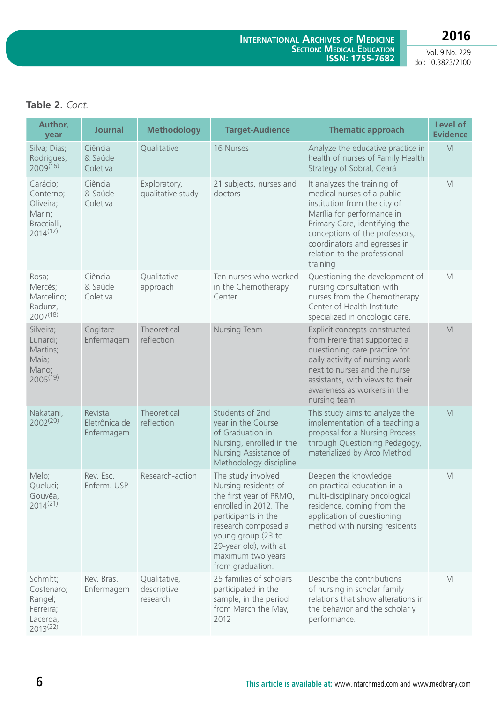### **Table 2.** *Cont.*

| Author,<br>year                                                              | <b>Journal</b>                         | <b>Methodology</b>                      | <b>Target-Audience</b>                                                                                                                                                                                                               | <b>Thematic approach</b>                                                                                                                                                                                                                                               | Level of<br><b>Evidence</b> |
|------------------------------------------------------------------------------|----------------------------------------|-----------------------------------------|--------------------------------------------------------------------------------------------------------------------------------------------------------------------------------------------------------------------------------------|------------------------------------------------------------------------------------------------------------------------------------------------------------------------------------------------------------------------------------------------------------------------|-----------------------------|
| Silva; Dias;<br>Rodrigues,<br>$2009^{(16)}$                                  | Ciência<br>& Saúde<br>Coletiva         | Qualitative                             | 16 Nurses                                                                                                                                                                                                                            | Analyze the educative practice in<br>health of nurses of Family Health<br>Strategy of Sobral, Ceará                                                                                                                                                                    | V <sub>l</sub>              |
| Carácio;<br>Conterno;<br>Oliveira;<br>Marin;<br>Braccialli,<br>$2014^{(17)}$ | Ciência<br>& Saúde<br>Coletiva         | Exploratory,<br>qualitative study       | 21 subjects, nurses and<br>doctors                                                                                                                                                                                                   | It analyzes the training of<br>medical nurses of a public<br>institution from the city of<br>Marília for performance in<br>Primary Care, identifying the<br>conceptions of the professors,<br>coordinators and egresses in<br>relation to the professional<br>training | V <sub>l</sub>              |
| Rosa;<br>Mercês;<br>Marcelino;<br>Radunz,<br>$2007^{(18)}$                   | Ciência<br>& Saúde<br>Coletiva         | Qualitative<br>approach                 | Ten nurses who worked<br>in the Chemotherapy<br>Center                                                                                                                                                                               | Questioning the development of<br>nursing consultation with<br>nurses from the Chemotherapy<br>Center of Health Institute<br>specialized in oncologic care.                                                                                                            | V <sub>l</sub>              |
| Silveira;<br>Lunardi;<br>Martins;<br>Maia;<br>Mano;<br>$2005^{(19)}$         | Cogitare<br>Enfermagem                 | Theoretical<br>reflection               | Nursing Team                                                                                                                                                                                                                         | Explicit concepts constructed<br>from Freire that supported a<br>questioning care practice for<br>daily activity of nursing work<br>next to nurses and the nurse<br>assistants, with views to their<br>awareness as workers in the<br>nursing team.                    | V <sub>l</sub>              |
| Nakatani,<br>$2002^{(20)}$                                                   | Revista<br>Eletrônica de<br>Enfermagem | Theoretical<br>reflection               | Students of 2nd<br>year in the Course<br>of Graduation in<br>Nursing, enrolled in the<br>Nursing Assistance of<br>Methodology discipline                                                                                             | This study aims to analyze the<br>implementation of a teaching a<br>proposal for a Nursing Process<br>through Questioning Pedagogy,<br>materialized by Arco Method                                                                                                     | V <sub>l</sub>              |
| Melo;<br>Queluci;<br>Gouvêa,<br>$2014^{(21)}$                                | Rev. Esc.<br>Enferm. USP               | Research-action                         | The study involved<br>Nursing residents of<br>the first year of PRMO,<br>enrolled in 2012. The<br>participants in the<br>research composed a<br>young group (23 to<br>29-year old), with at<br>maximum two years<br>from graduation. | Deepen the knowledge<br>on practical education in a<br>multi-disciplinary oncological<br>residence, coming from the<br>application of questioning<br>method with nursing residents                                                                                     | V <sub>l</sub>              |
| Schmitt;<br>Costenaro;<br>Rangel;<br>Ferreira;<br>Lacerda,<br>$2013^{(22)}$  | Rev. Bras.<br>Enfermagem               | Qualitative,<br>descriptive<br>research | 25 families of scholars<br>participated in the<br>sample, in the period<br>from March the May,<br>2012                                                                                                                               | Describe the contributions<br>of nursing in scholar family<br>relations that show alterations in<br>the behavior and the scholar y<br>performance.                                                                                                                     | V <sub>l</sub>              |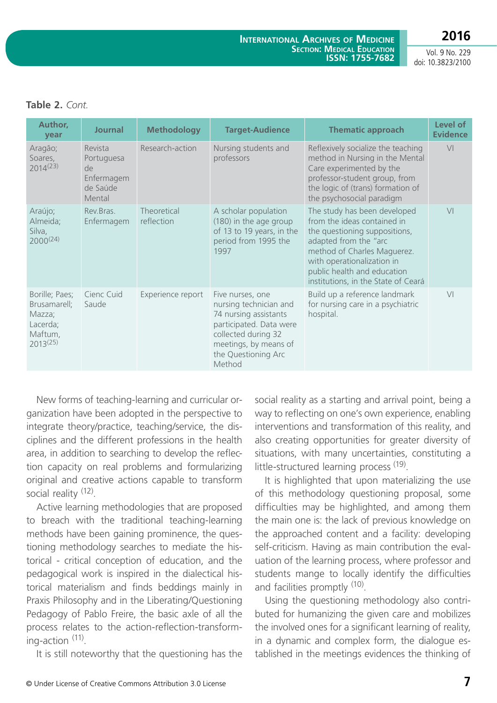|  | Table 2. Cont. |
|--|----------------|
|  |                |

| Author,<br>year                                                                  | <b>Journal</b>                                                  | <b>Methodology</b>        | <b>Target-Audience</b>                                                                                                                                                          | <b>Thematic approach</b>                                                                                                                                                                                                                                 | Level of<br><b>Evidence</b> |
|----------------------------------------------------------------------------------|-----------------------------------------------------------------|---------------------------|---------------------------------------------------------------------------------------------------------------------------------------------------------------------------------|----------------------------------------------------------------------------------------------------------------------------------------------------------------------------------------------------------------------------------------------------------|-----------------------------|
| Aragão;<br>Soares,<br>$2014^{(23)}$                                              | Revista<br>Portuguesa<br>de<br>Enfermagem<br>de Saúde<br>Mental | Research-action           | Nursing students and<br>professors                                                                                                                                              | Reflexively socialize the teaching<br>method in Nursing in the Mental<br>Care experimented by the<br>professor-student group, from<br>the logic of (trans) formation of<br>the psychosocial paradigm                                                     | V <sub>l</sub>              |
| Araújo;<br>Almeida;<br>Silva,<br>$2000^{(24)}$                                   | Rev.Bras.<br>Enfermagem                                         | Theoretical<br>reflection | A scholar population<br>(180) in the age group<br>of 13 to 19 years, in the<br>period from 1995 the<br>1997                                                                     | The study has been developed<br>from the ideas contained in<br>the questioning suppositions,<br>adapted from the "arc<br>method of Charles Maguerez.<br>with operationalization in<br>public health and education<br>institutions, in the State of Ceará | V <sub>1</sub>              |
| Borille; Paes;<br>Brusamarell;<br>Mazza;<br>Lacerda;<br>Maftum,<br>$2013^{(25)}$ | Cienc Cuid<br>Saude                                             | Experience report         | Five nurses, one<br>nursing technician and<br>74 nursing assistants<br>participated. Data were<br>collected during 32<br>meetings, by means of<br>the Questioning Arc<br>Method | Build up a reference landmark<br>for nursing care in a psychiatric<br>hospital.                                                                                                                                                                          | V <sub>1</sub>              |

New forms of teaching-learning and curricular organization have been adopted in the perspective to integrate theory/practice, teaching/service, the disciplines and the different professions in the health area, in addition to searching to develop the reflection capacity on real problems and formularizing original and creative actions capable to transform social reality <sup>(12)</sup>.

Active learning methodologies that are proposed to breach with the traditional teaching-learning methods have been gaining prominence, the questioning methodology searches to mediate the historical - critical conception of education, and the pedagogical work is inspired in the dialectical historical materialism and finds beddings mainly in Praxis Philosophy and in the Liberating/Questioning Pedagogy of Pablo Freire, the basic axle of all the process relates to the action-reflection-transforming-action (11).

It is still noteworthy that the questioning has the

social reality as a starting and arrival point, being a way to reflecting on one's own experience, enabling interventions and transformation of this reality, and also creating opportunities for greater diversity of situations, with many uncertainties, constituting a little-structured learning process (19).

It is highlighted that upon materializing the use of this methodology questioning proposal, some difficulties may be highlighted, and among them the main one is: the lack of previous knowledge on the approached content and a facility: developing self-criticism. Having as main contribution the evaluation of the learning process, where professor and students mange to locally identify the difficulties and facilities promptly <sup>(10)</sup>.

Using the questioning methodology also contributed for humanizing the given care and mobilizes the involved ones for a significant learning of reality, in a dynamic and complex form, the dialogue established in the meetings evidences the thinking of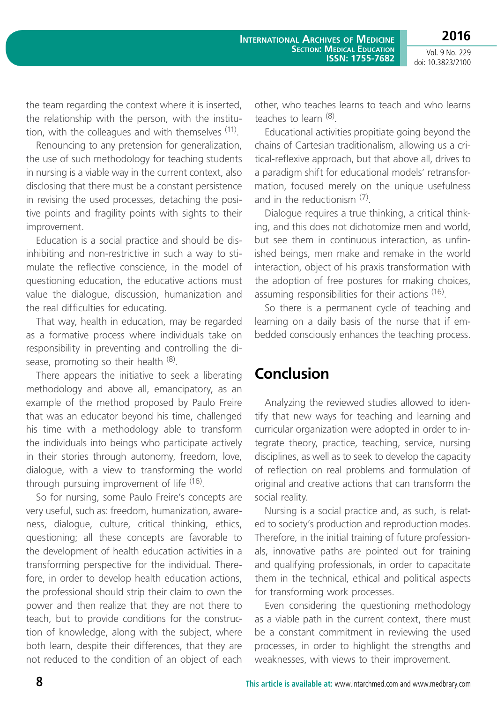**2016**

Vol. 9 No. 229 doi: 10.3823/2100

the team regarding the context where it is inserted, the relationship with the person, with the institution, with the colleagues and with themselves  $(11)$ .

Renouncing to any pretension for generalization, the use of such methodology for teaching students in nursing is a viable way in the current context, also disclosing that there must be a constant persistence in revising the used processes, detaching the positive points and fragility points with sights to their improvement.

Education is a social practice and should be disinhibiting and non-restrictive in such a way to stimulate the reflective conscience, in the model of questioning education, the educative actions must value the dialogue, discussion, humanization and the real difficulties for educating.

That way, health in education, may be regarded as a formative process where individuals take on responsibility in preventing and controlling the disease, promoting so their health  $(8)$ .

There appears the initiative to seek a liberating methodology and above all, emancipatory, as an example of the method proposed by Paulo Freire that was an educator beyond his time, challenged his time with a methodology able to transform the individuals into beings who participate actively in their stories through autonomy, freedom, love, dialogue, with a view to transforming the world through pursuing improvement of life (16).

So for nursing, some Paulo Freire's concepts are very useful, such as: freedom, humanization, awareness, dialogue, culture, critical thinking, ethics, questioning; all these concepts are favorable to the development of health education activities in a transforming perspective for the individual. Therefore, in order to develop health education actions, the professional should strip their claim to own the power and then realize that they are not there to teach, but to provide conditions for the construction of knowledge, along with the subject, where both learn, despite their differences, that they are not reduced to the condition of an object of each

other, who teaches learns to teach and who learns teaches to learn (8).

Educational activities propitiate going beyond the chains of Cartesian traditionalism, allowing us a critical-reflexive approach, but that above all, drives to a paradigm shift for educational models' retransformation, focused merely on the unique usefulness and in the reductionism  $(7)$ .

Dialogue requires a true thinking, a critical thinking, and this does not dichotomize men and world, but see them in continuous interaction, as unfinished beings, men make and remake in the world interaction, object of his praxis transformation with the adoption of free postures for making choices, assuming responsibilities for their actions (16).

So there is a permanent cycle of teaching and learning on a daily basis of the nurse that if embedded consciously enhances the teaching process.

### **Conclusion**

Analyzing the reviewed studies allowed to identify that new ways for teaching and learning and curricular organization were adopted in order to integrate theory, practice, teaching, service, nursing disciplines, as well as to seek to develop the capacity of reflection on real problems and formulation of original and creative actions that can transform the social reality.

Nursing is a social practice and, as such, is related to society's production and reproduction modes. Therefore, in the initial training of future professionals, innovative paths are pointed out for training and qualifying professionals, in order to capacitate them in the technical, ethical and political aspects for transforming work processes.

Even considering the questioning methodology as a viable path in the current context, there must be a constant commitment in reviewing the used processes, in order to highlight the strengths and weaknesses, with views to their improvement.